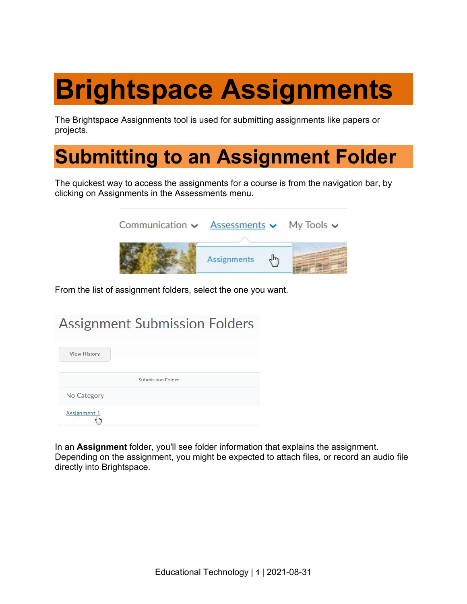# **Brightspace Assignments**

The Brightspace Assignments tool is used for submitting assignments like papers or projects.

### **Submitting to an Assignment Folder**

The quickest way to access the assignments for a course is from the navigation bar, by clicking on Assignments in the Assessments menu.



From the list of assignment folders, select the one you want.

### **Assignment Submission Folders**

| <b>View History</b> |                          |  |
|---------------------|--------------------------|--|
|                     | <b>Submission Folder</b> |  |
| No Category         |                          |  |
| Assignment 1        |                          |  |

In an **Assignment** folder, you'll see folder information that explains the assignment. Depending on the assignment, you might be expected to attach files, or record an audio file directly into Brightspace.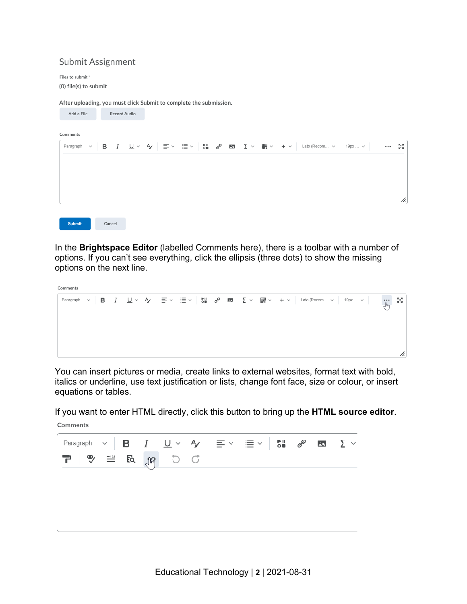#### Submit Assignment

Files to submit\* (0) file(s) to submit

After uploading, you must click Submit to complete the submission.

| Add a File       | <b>Record Audio</b> |                                                                                                                                                                                                                                                                                                                                                                                                                                                                  |                                              |                                     |
|------------------|---------------------|------------------------------------------------------------------------------------------------------------------------------------------------------------------------------------------------------------------------------------------------------------------------------------------------------------------------------------------------------------------------------------------------------------------------------------------------------------------|----------------------------------------------|-------------------------------------|
| Comments         |                     |                                                                                                                                                                                                                                                                                                                                                                                                                                                                  |                                              |                                     |
| Paragraph $\sim$ | в                   | $I\quad \underline{\mathsf{U}}\,\times\,\, \mathsf{A}\,\,\Big \,\, \Xi\,\times\,\, \Xi\,\times\,\, \Big \,\, \mathsf{S}\hspace{-0.04cm}\hspace{-0.04cm}\mathrm{I}\quad \mathsf{B}\hspace{-0.04cm}\hspace{-0.04cm}\hspace{-0.04cm}\mathrm{I}\quad \mathsf{B}\hspace{-0.04cm}\hspace{-0.04cm}\hspace{-0.04cm}\mathrm{I}\quad \mathsf{B}\,\, \times\,\, \mathsf{I}\hspace{-0.04cm}\mathrm{I}\quad \mathsf{B}\,\times\,\, \mathsf{I}\hspace{-0.04cm}\mathrm{I}\quad$ | Lato (Recom v<br>$+$ $\sim$<br>$19px$ $\sim$ | ŞŠ<br>$\bullet$ $\bullet$ $\bullet$ |
|                  |                     |                                                                                                                                                                                                                                                                                                                                                                                                                                                                  |                                              |                                     |
|                  |                     |                                                                                                                                                                                                                                                                                                                                                                                                                                                                  |                                              |                                     |
|                  |                     |                                                                                                                                                                                                                                                                                                                                                                                                                                                                  |                                              | h.                                  |
|                  |                     |                                                                                                                                                                                                                                                                                                                                                                                                                                                                  |                                              |                                     |
| <b>Submit</b>    | Cancel              |                                                                                                                                                                                                                                                                                                                                                                                                                                                                  |                                              |                                     |

In the **Brightspace Editor** (labelled Comments here), there is a toolbar with a number of options. If you can't see everything, click the ellipsis (three dots) to show the missing options on the next line.

| Comments |  |  |  |  |  |  |  |  |  |    |
|----------|--|--|--|--|--|--|--|--|--|----|
|          |  |  |  |  |  |  |  |  |  | 중경 |
|          |  |  |  |  |  |  |  |  |  |    |
|          |  |  |  |  |  |  |  |  |  |    |
|          |  |  |  |  |  |  |  |  |  |    |
|          |  |  |  |  |  |  |  |  |  |    |

You can insert pictures or media, create links to external websites, format text with bold, italics or underline, use text justification or lists, change font face, size or colour, or insert equations or tables.

If you want to enter HTML directly, click this button to bring up the **HTML source editor**. Comments

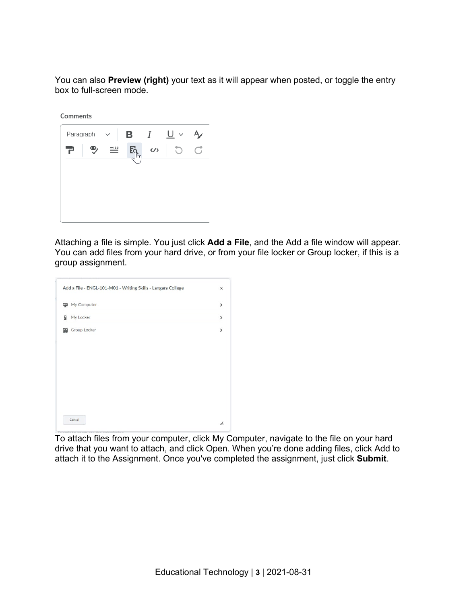You can also **Preview (right)** your text as it will appear when posted, or toggle the entry box to full-screen mode.

Comments



Attaching a file is simple. You just click **Add a File**, and the Add a file window will appear. You can add files from your hard drive, or from your file locker or Group locker, if this is a group assignment.

|   | My Computer  | $\mathcal{E}$            |
|---|--------------|--------------------------|
| 日 | My Locker    | $\mathcal{E}$            |
| 明 | Group Locker | $\overline{\phantom{0}}$ |
|   |              |                          |
|   |              |                          |
|   |              |                          |
|   |              |                          |
|   |              |                          |
|   |              |                          |

To attach files from your computer, click My Computer, navigate to the file on your hard drive that you want to attach, and click Open. When you're done adding files, click Add to attach it to the Assignment. Once you've completed the assignment, just click **Submit**.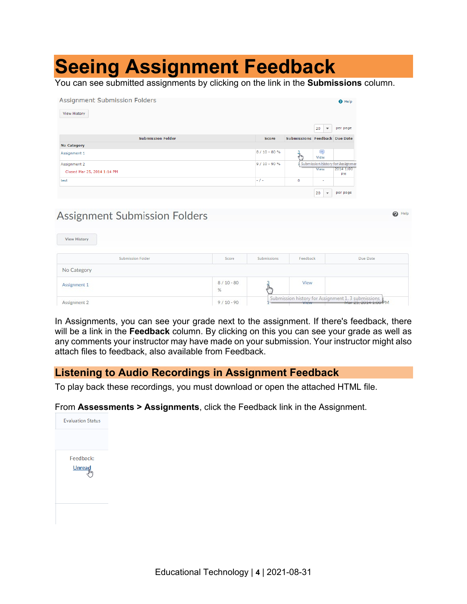### **Seeing Assignment Feedback**

You can see submitted assignments by clicking on the link in the **Submissions** column.

| Assignment Submission Folders<br><b>View History</b> |               |                               |                               | <b>O</b> Help                    |
|------------------------------------------------------|---------------|-------------------------------|-------------------------------|----------------------------------|
|                                                      |               |                               | 20<br>$\overline{\mathbf{v}}$ | per page                         |
| <b>Submission Folder</b>                             | <b>Score</b>  | Submissions Feedback Due Date |                               |                                  |
| No Category                                          |               |                               |                               |                                  |
| Assignment 1                                         | $8/10 - 80%$  | ŤЬ                            | Ş<br>View                     |                                  |
| Assignment 2                                         | $9/10 - 90 %$ |                               |                               | Submission history for Assignmen |
| Closed Mar 25, 2014 1:14 PM                          |               |                               | View                          | 2014 1:00<br><b>PM</b>           |
| test                                                 | $-1-$         | $\circ$                       | ٠                             |                                  |
|                                                      |               |                               | 20<br>$\overline{\mathbf{v}}$ | per page                         |

#### **Assignment Submission Folders**

| View History      |                  |             |          |                                                                           |
|-------------------|------------------|-------------|----------|---------------------------------------------------------------------------|
| Submission Folder | Score            | Submissions | Feedback | Due Date                                                                  |
| No Category       |                  |             |          |                                                                           |
| Assignment 1      | $8/10 - 80$<br>% |             | View     |                                                                           |
| Assignment 2      | $9/10 - 90$      |             |          | Submission history for Assignment 1.3 submissions<br>Mar 25, 2014 1:00 PM |

 $\odot$  Help

In Assignments, you can see your grade next to the assignment. If there's feedback, there will be a link in the **Feedback** column. By clicking on this you can see your grade as well as any comments your instructor may have made on your submission. Your instructor might also attach files to feedback, also available from Feedback.

#### **Listening to Audio Recordings in Assignment Feedback**

To play back these recordings, you must download or open the attached HTML file.

From **Assessments > Assignments**, click the Feedback link in the Assignment.

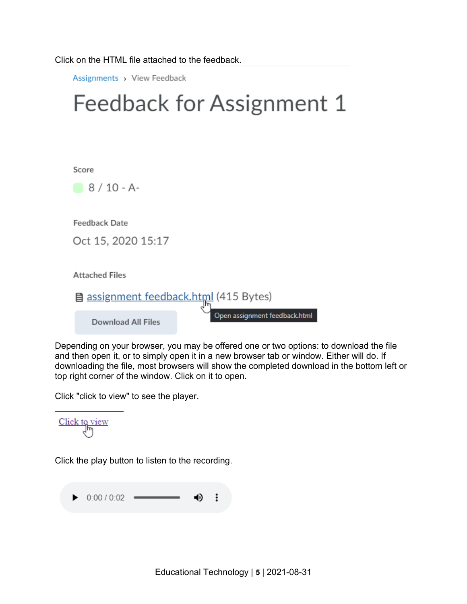Click on the HTML file attached to the feedback.

Assignments > View Feedback

## Feedback for Assignment 1

Score



**Feedback Date** 

Oct 15, 2020 15:17

**Attached Files** 

assignment feedback.html (415 Bytes) Open assignment feedback.html

**Download All Files** 

Depending on your browser, you may be offered one or two options: to download the file and then open it, or to simply open it in a new browser tab or window. Either will do. If downloading the file, most browsers will show the completed download in the bottom left or top right corner of the window. Click on it to open.

Click "click to view" to see the player.

 $\frac{\text{Click to view}}{\text{dm}}$ 

Click the play button to listen to the recording.